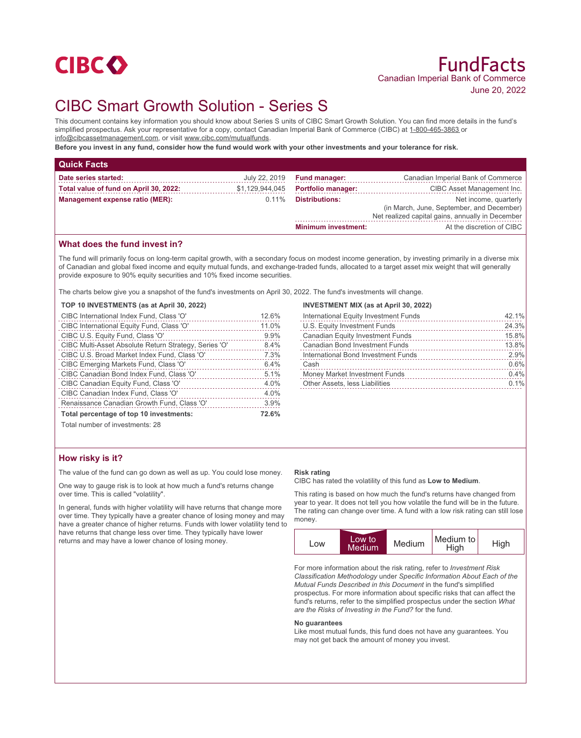

# CIBC Smart Growth Solution - Series S

This document contains key information you should know about Series S units of CIBC Smart Growth Solution. You can find more details in the fund's simplified prospectus. Ask your representative for a copy, contact Canadian Imperial Bank of Commerce (CIBC) at 1-800-465-3863 or info@cibcassetmanagement.com, or visit www.cibc.com/mutualfunds.

**Before you invest in any fund, consider how the fund would work with your other investments and your tolerance for risk.**

| <b>Quick Facts</b>                          |                 |                            |                                                                                                                        |  |
|---------------------------------------------|-----------------|----------------------------|------------------------------------------------------------------------------------------------------------------------|--|
| Date series started:                        | July 22, 2019   | <b>Fund manager:</b>       | Canadian Imperial Bank of Commerce                                                                                     |  |
| Total value of fund on April 30, 2022:      | \$1,129,944,045 | <b>Portfolio manager:</b>  | CIBC Asset Management Inc.                                                                                             |  |
| Management expense ratio (MER):<br>$0.11\%$ |                 | <b>Distributions:</b>      | Net income, quarterly<br>(in March, June, September, and December)<br>Net realized capital gains, annually in December |  |
|                                             |                 | <b>Minimum investment:</b> | At the discretion of CIBC                                                                                              |  |

# **What does the fund invest in?**

The fund will primarily focus on long-term capital growth, with a secondary focus on modest income generation, by investing primarily in a diverse mix of Canadian and global fixed income and equity mutual funds, and exchange-traded funds, allocated to a target asset mix weight that will generally provide exposure to 90% equity securities and 10% fixed income securities.

The charts below give you a snapshot of the fund's investments on April 30, 2022. The fund's investments will change.

| THE CHARG DEIDWI GIVE YOU A SHADSHOL OF LITE TUNGS INVESTINGING ON ADHI |       |
|-------------------------------------------------------------------------|-------|
| TOP 10 INVESTMENTS (as at April 30, 2022)                               |       |
| CIBC International Index Fund, Class 'O'                                | 12.6% |
| CIBC International Equity Fund, Class 'O'                               | 11.0% |
| CIBC U.S. Equity Fund, Class 'O'                                        | 9.9%  |
| CIBC Multi-Asset Absolute Return Strategy, Series 'O'                   | 8.4%  |
| CIBC U.S. Broad Market Index Fund, Class 'O'                            | 7.3%  |
| CIBC Emerging Markets Fund, Class 'O'                                   | 6.4%  |
| CIBC Canadian Bond Index Fund, Class 'O'                                | 5.1%  |
| CIBC Canadian Equity Fund, Class 'O'                                    | 4.0%  |
| CIBC Canadian Index Fund, Class 'O'                                     | 4.0%  |
| Renaissance Canadian Growth Fund, Class 'O'                             | 3.9%  |
|                                                                         |       |

#### **INVESTMENT MIX (as at April 30, 2022)**

| International Equity Investment Funds   | 42.1% |
|-----------------------------------------|-------|
| U.S. Equity Investment Funds            | 24.3% |
| <b>Canadian Equity Investment Funds</b> | 15.8% |
| <b>Canadian Bond Investment Funds</b>   | 13.8% |
| International Bond Investment Funds     | 2.9%  |
| Cash                                    | 0.6%  |
| Money Market Investment Funds           | 0.4%  |
| Other Assets, less Liabilities          | 0.1%  |
|                                         |       |

Total number of investments: 28

# **How risky is it?**

The value of the fund can go down as well as up. You could lose money.

**Total percentage of top 10 investments: 72.6%**

One way to gauge risk is to look at how much a fund's returns change over time. This is called "volatility".

In general, funds with higher volatility will have returns that change more over time. They typically have a greater chance of losing money and may have a greater chance of higher returns. Funds with lower volatility tend to have returns that change less over time. They typically have lower returns and may have a lower chance of losing money.

#### **Risk rating**

CIBC has rated the volatility of this fund as **Low to Medium**.

This rating is based on how much the fund's returns have changed from year to year. It does not tell you how volatile the fund will be in the future. The rating can change over time. A fund with a low risk rating can still lose money.



For more information about the risk rating, refer to *Investment Risk Classification Methodology* under *Specific Information About Each of the Mutual Funds Described in this Document* in the fund's simplified prospectus. For more information about specific risks that can affect the fund's returns, refer to the simplified prospectus under the section *What are the Risks of Investing in the Fund?* for the fund.

#### **No guarantees**

Like most mutual funds, this fund does not have any guarantees. You may not get back the amount of money you invest.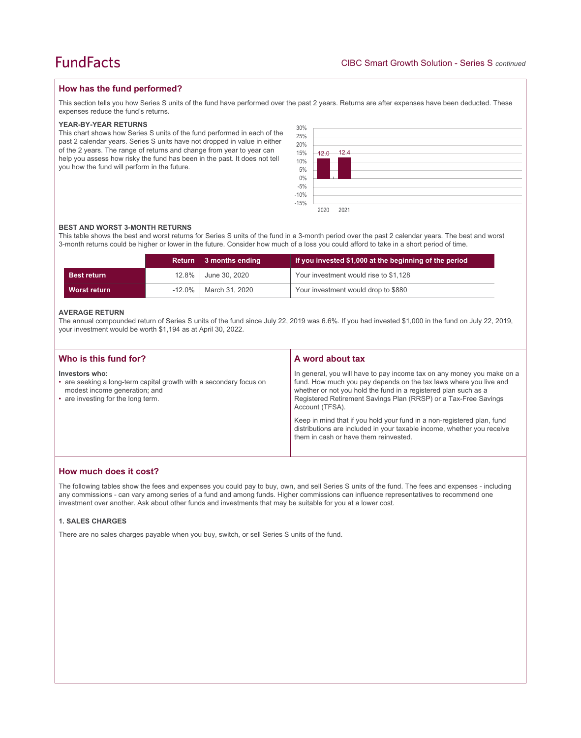## **How has the fund performed?**

This section tells you how Series S units of the fund have performed over the past 2 years. Returns are after expenses have been deducted. These expenses reduce the fund's returns.

## **YEAR-BY-YEAR RETURNS**

This chart shows how Series S units of the fund performed in each of the past 2 calendar years. Series S units have not dropped in value in either of the 2 years. The range of returns and change from year to year can help you assess how risky the fund has been in the past. It does not tell you how the fund will perform in the future.



### **BEST AND WORST 3-MONTH RETURNS**

This table shows the best and worst returns for Series S units of the fund in a 3-month period over the past 2 calendar years. The best and worst 3-month returns could be higher or lower in the future. Consider how much of a loss you could afford to take in a short period of time.

|                    |       | Return 3 months ending  | If you invested \$1,000 at the beginning of the period |
|--------------------|-------|-------------------------|--------------------------------------------------------|
| <b>Best return</b> | 12.8% | June 30, 2020           | Your investment would rise to \$1,128                  |
| Worst return       |       | -12.0%   March 31, 2020 | Your investment would drop to \$880                    |

### **AVERAGE RETURN**

The annual compounded return of Series S units of the fund since July 22, 2019 was 6.6%. If you had invested \$1,000 in the fund on July 22, 2019, your investment would be worth \$1,194 as at April 30, 2022.

| Who is this fund for?                                                                                                                                       | A word about tax                                                                                                                                                                                                                                                                                                                                                                                                                                                                                  |
|-------------------------------------------------------------------------------------------------------------------------------------------------------------|---------------------------------------------------------------------------------------------------------------------------------------------------------------------------------------------------------------------------------------------------------------------------------------------------------------------------------------------------------------------------------------------------------------------------------------------------------------------------------------------------|
| Investors who:<br>• are seeking a long-term capital growth with a secondary focus on<br>modest income generation; and<br>• are investing for the long term. | In general, you will have to pay income tax on any money you make on a<br>fund. How much you pay depends on the tax laws where you live and<br>whether or not you hold the fund in a registered plan such as a<br>Registered Retirement Savings Plan (RRSP) or a Tax-Free Savings<br>Account (TFSA).<br>Keep in mind that if you hold your fund in a non-registered plan, fund<br>distributions are included in your taxable income, whether you receive<br>them in cash or have them reinvested. |
|                                                                                                                                                             |                                                                                                                                                                                                                                                                                                                                                                                                                                                                                                   |

# **How much does it cost?**

The following tables show the fees and expenses you could pay to buy, own, and sell Series S units of the fund. The fees and expenses - including any commissions - can vary among series of a fund and among funds. Higher commissions can influence representatives to recommend one investment over another. Ask about other funds and investments that may be suitable for you at a lower cost.

## **1. SALES CHARGES**

There are no sales charges payable when you buy, switch, or sell Series S units of the fund.